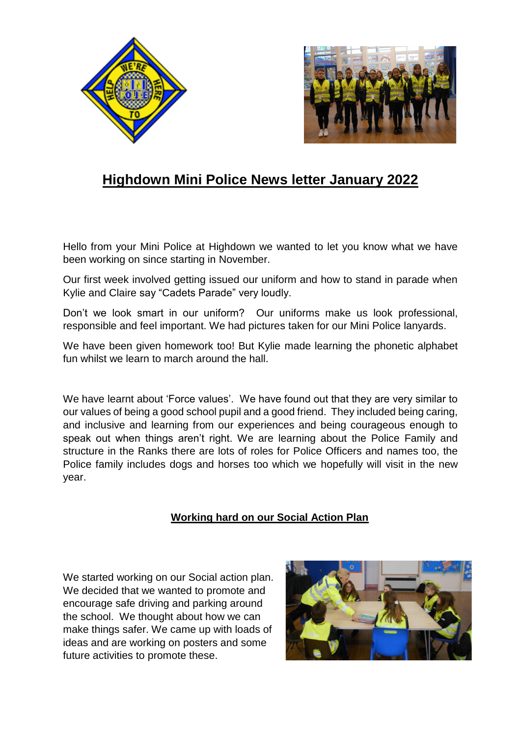



## **Highdown Mini Police News letter January 2022**

Hello from your Mini Police at Highdown we wanted to let you know what we have been working on since starting in November.

Our first week involved getting issued our uniform and how to stand in parade when Kylie and Claire say "Cadets Parade" very loudly.

Don't we look smart in our uniform? Our uniforms make us look professional, responsible and feel important. We had pictures taken for our Mini Police lanyards.

We have been given homework too! But Kylie made learning the phonetic alphabet fun whilst we learn to march around the hall.

We have learnt about 'Force values'. We have found out that they are very similar to our values of being a good school pupil and a good friend. They included being caring, and inclusive and learning from our experiences and being courageous enough to speak out when things aren't right. We are learning about the Police Family and structure in the Ranks there are lots of roles for Police Officers and names too, the Police family includes dogs and horses too which we hopefully will visit in the new year.

## **Working hard on our Social Action Plan**

We started working on our Social action plan. We decided that we wanted to promote and encourage safe driving and parking around the school. We thought about how we can make things safer. We came up with loads of ideas and are working on posters and some future activities to promote these.